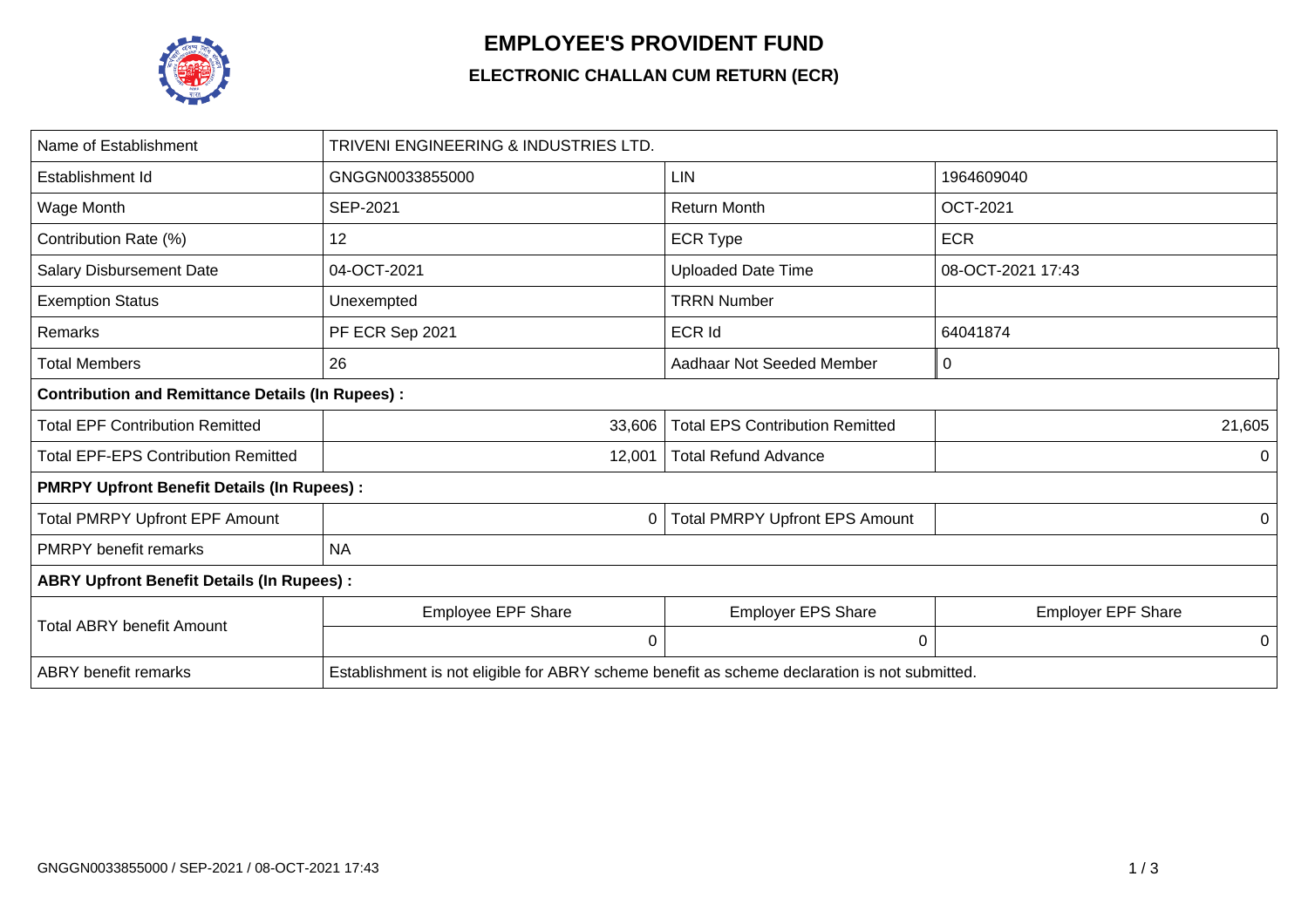

## **EMPLOYEE'S PROVIDENT FUND**

## **ELECTRONIC CHALLAN CUM RETURN (ECR)**

| Name of Establishment                                   | TRIVENI ENGINEERING & INDUSTRIES LTD.                                                         |                                        |                           |  |  |  |
|---------------------------------------------------------|-----------------------------------------------------------------------------------------------|----------------------------------------|---------------------------|--|--|--|
| Establishment Id                                        | GNGGN0033855000                                                                               | <b>LIN</b>                             | 1964609040                |  |  |  |
| Wage Month                                              | SEP-2021                                                                                      | <b>Return Month</b>                    | <b>OCT-2021</b>           |  |  |  |
| Contribution Rate (%)                                   | 12                                                                                            | <b>ECR Type</b>                        | <b>ECR</b>                |  |  |  |
| <b>Salary Disbursement Date</b>                         | 04-OCT-2021                                                                                   | <b>Uploaded Date Time</b>              | 08-OCT-2021 17:43         |  |  |  |
| <b>Exemption Status</b>                                 | Unexempted                                                                                    | <b>TRRN Number</b>                     |                           |  |  |  |
| Remarks                                                 | PF ECR Sep 2021                                                                               | ECR Id                                 | 64041874                  |  |  |  |
| <b>Total Members</b>                                    | 26                                                                                            | Aadhaar Not Seeded Member              | 0                         |  |  |  |
| <b>Contribution and Remittance Details (In Rupees):</b> |                                                                                               |                                        |                           |  |  |  |
| <b>Total EPF Contribution Remitted</b>                  | 33,606                                                                                        | <b>Total EPS Contribution Remitted</b> | 21,605                    |  |  |  |
| <b>Total EPF-EPS Contribution Remitted</b>              | 12,001                                                                                        | <b>Total Refund Advance</b>            | 0                         |  |  |  |
| <b>PMRPY Upfront Benefit Details (In Rupees):</b>       |                                                                                               |                                        |                           |  |  |  |
| <b>Total PMRPY Upfront EPF Amount</b>                   | 0                                                                                             | <b>Total PMRPY Upfront EPS Amount</b>  | 0                         |  |  |  |
| <b>PMRPY benefit remarks</b>                            | <b>NA</b>                                                                                     |                                        |                           |  |  |  |
| <b>ABRY Upfront Benefit Details (In Rupees):</b>        |                                                                                               |                                        |                           |  |  |  |
| <b>Total ABRY benefit Amount</b>                        | Employee EPF Share                                                                            | <b>Employer EPS Share</b>              | <b>Employer EPF Share</b> |  |  |  |
|                                                         | 0                                                                                             | 0                                      | 0                         |  |  |  |
| <b>ABRY</b> benefit remarks                             | Establishment is not eligible for ABRY scheme benefit as scheme declaration is not submitted. |                                        |                           |  |  |  |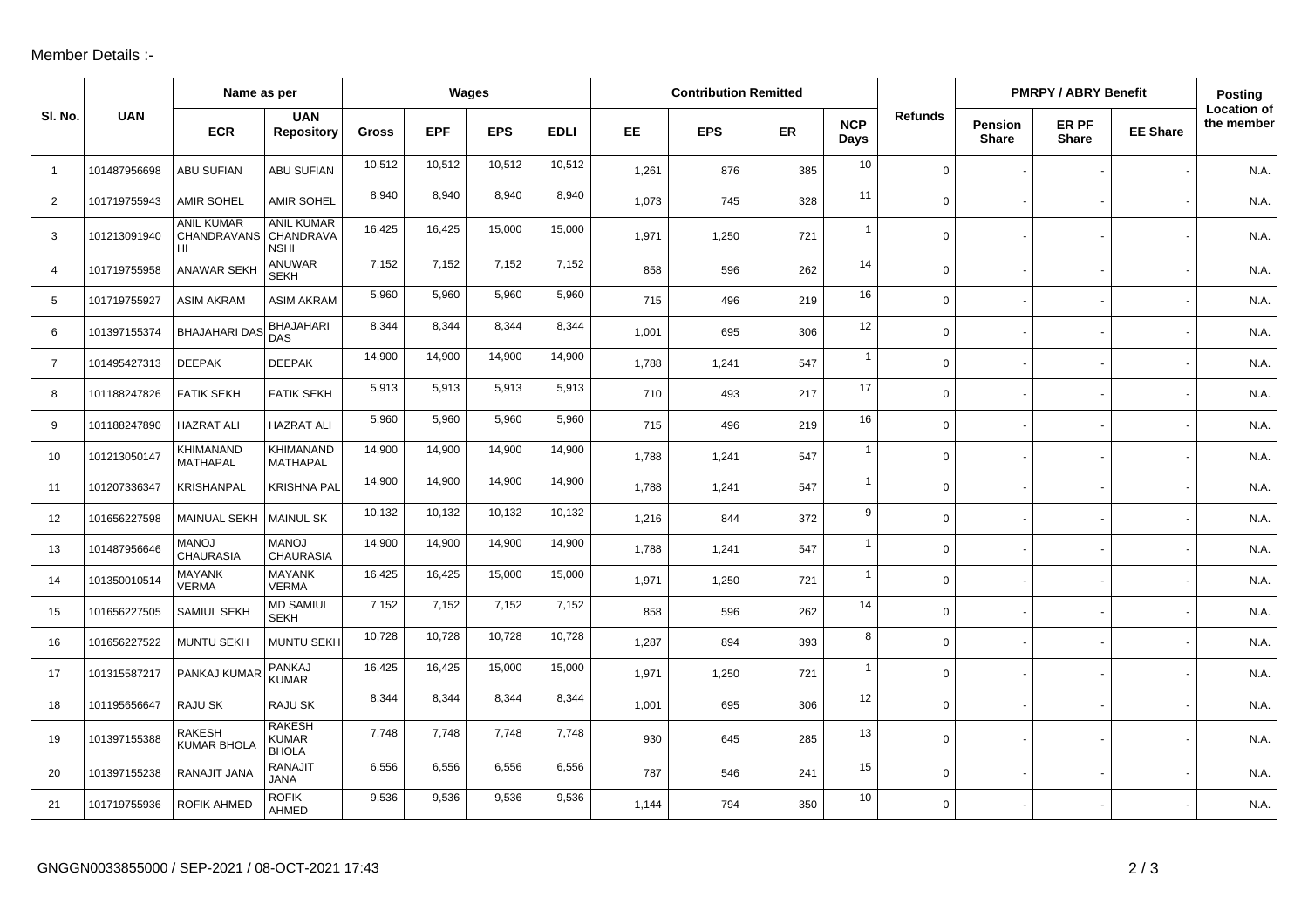## Member Details :-

|                | Name as per  |                                                  |                                               |        | Wages      |            |             | <b>Contribution Remitted</b> |            |           |                    |                | <b>PMRPY / ABRY Benefit</b>    |                       |                 | Posting                          |
|----------------|--------------|--------------------------------------------------|-----------------------------------------------|--------|------------|------------|-------------|------------------------------|------------|-----------|--------------------|----------------|--------------------------------|-----------------------|-----------------|----------------------------------|
| SI. No.        | <b>UAN</b>   | <b>ECR</b>                                       | <b>UAN</b><br><b>Repository</b>               | Gross  | <b>EPF</b> | <b>EPS</b> | <b>EDLI</b> | <b>EE</b>                    | <b>EPS</b> | <b>ER</b> | <b>NCP</b><br>Days | <b>Refunds</b> | <b>Pension</b><br><b>Share</b> | ER PF<br><b>Share</b> | <b>EE Share</b> | <b>Location of</b><br>the member |
| $\overline{1}$ | 101487956698 | <b>ABU SUFIAN</b>                                | ABU SUFIAN                                    | 10,512 | 10,512     | 10,512     | 10,512      | 1,261                        | 876        | 385       | 10                 | $\mathsf{O}$   |                                |                       |                 | N.A.                             |
| $\overline{2}$ | 101719755943 | <b>AMIR SOHEL</b>                                | <b>AMIR SOHEL</b>                             | 8,940  | 8,940      | 8,940      | 8,940       | 1,073                        | 745        | 328       | 11                 | $\mathbf 0$    |                                |                       |                 | N.A.                             |
| 3              | 101213091940 | <b>ANIL KUMAR</b><br>CHANDRAVANS CHANDRAVA<br>HI | <b>ANIL KUMAR</b><br><b>NSHI</b>              | 16,425 | 16,425     | 15,000     | 15,000      | 1,971                        | 1,250      | 721       | $\mathbf{1}$       | $\mathsf{O}$   |                                |                       |                 | N.A.                             |
| $\overline{4}$ | 101719755958 | <b>ANAWAR SEKH</b>                               | <b>ANUWAR</b><br><b>SEKH</b>                  | 7,152  | 7,152      | 7,152      | 7,152       | 858                          | 596        | 262       | 14                 | $\mathsf{O}$   |                                |                       |                 | N.A.                             |
| 5              | 101719755927 | <b>ASIM AKRAM</b>                                | <b>ASIM AKRAM</b>                             | 5,960  | 5,960      | 5,960      | 5,960       | 715                          | 496        | 219       | 16                 | $\mathbf 0$    |                                |                       |                 | N.A.                             |
| 6              | 101397155374 | <b>BHAJAHARI DAS</b>                             | <b>BHAJAHARI</b><br><b>DAS</b>                | 8,344  | 8,344      | 8,344      | 8,344       | 1,001                        | 695        | 306       | 12                 | $\mathbf 0$    |                                |                       |                 | N.A.                             |
| $\overline{7}$ | 101495427313 | <b>DEEPAK</b>                                    | <b>DEEPAK</b>                                 | 14,900 | 14,900     | 14,900     | 14,900      | 1,788                        | 1,241      | 547       | $\overline{1}$     | $\mathbf 0$    |                                |                       |                 | N.A.                             |
| 8              | 101188247826 | <b>FATIK SEKH</b>                                | <b>FATIK SEKH</b>                             | 5,913  | 5,913      | 5,913      | 5,913       | 710                          | 493        | 217       | 17                 | $\mathbf 0$    |                                |                       |                 | N.A.                             |
| 9              | 101188247890 | <b>HAZRAT ALI</b>                                | <b>HAZRAT ALI</b>                             | 5,960  | 5,960      | 5,960      | 5,960       | 715                          | 496        | 219       | 16                 | $\mathbf 0$    |                                |                       |                 | N.A.                             |
| 10             | 101213050147 | KHIMANAND<br><b>MATHAPAL</b>                     | KHIMANAND<br><b>MATHAPAL</b>                  | 14,900 | 14,900     | 14,900     | 14,900      | 1,788                        | 1,241      | 547       | $\overline{1}$     | $\mathbf 0$    |                                |                       |                 | N.A.                             |
| 11             | 101207336347 | KRISHANPAL                                       | <b>KRISHNA PAL</b>                            | 14,900 | 14,900     | 14,900     | 14,900      | 1,788                        | 1,241      | 547       | $\mathbf{1}$       | $\mathsf{O}$   |                                |                       |                 | N.A.                             |
| 12             | 101656227598 | <b>MAINUAL SEKH</b>                              | <b>MAINUL SK</b>                              | 10,132 | 10,132     | 10,132     | 10,132      | 1,216                        | 844        | 372       | 9                  | $\mathbf 0$    |                                |                       |                 | N.A.                             |
| 13             | 101487956646 | <b>MANOJ</b><br><b>CHAURASIA</b>                 | <b>MANOJ</b><br><b>CHAURASIA</b>              | 14,900 | 14,900     | 14,900     | 14,900      | 1,788                        | 1,241      | 547       | $\mathbf{1}$       | $\mathsf{O}$   |                                |                       |                 | N.A.                             |
| 14             | 101350010514 | <b>MAYANK</b><br><b>VERMA</b>                    | <b>MAYANK</b><br><b>VERMA</b>                 | 16,425 | 16,425     | 15,000     | 15,000      | 1,971                        | 1,250      | 721       | $\mathbf{1}$       | $\mathbf 0$    |                                |                       |                 | N.A.                             |
| 15             | 101656227505 | SAMIUL SEKH                                      | <b>MD SAMIUL</b><br><b>SEKH</b>               | 7,152  | 7,152      | 7,152      | 7,152       | 858                          | 596        | 262       | 14                 | $\mathbf 0$    |                                |                       |                 | N.A.                             |
| 16             | 101656227522 | <b>MUNTU SEKH</b>                                | <b>MUNTU SEKH</b>                             | 10,728 | 10,728     | 10,728     | 10,728      | 1,287                        | 894        | 393       | 8                  | $\mathbf 0$    |                                |                       |                 | N.A.                             |
| 17             | 101315587217 | PANKAJ KUMAR                                     | <b>PANKAJ</b><br><b>KUMAR</b>                 | 16,425 | 16,425     | 15,000     | 15,000      | 1,971                        | 1,250      | 721       | $\mathbf{1}$       | $\mathbf 0$    |                                |                       |                 | N.A.                             |
| 18             | 101195656647 | RAJU SK                                          | RAJU SK                                       | 8,344  | 8,344      | 8,344      | 8,344       | 1,001                        | 695        | 306       | 12                 | $\mathbf 0$    |                                |                       |                 | N.A.                             |
| 19             | 101397155388 | <b>RAKESH</b><br><b>KUMAR BHOLA</b>              | <b>RAKESH</b><br><b>KUMAR</b><br><b>BHOLA</b> | 7,748  | 7,748      | 7,748      | 7,748       | 930                          | 645        | 285       | 13                 | $\mathsf{O}$   |                                |                       |                 | N.A.                             |
| 20             | 101397155238 | RANAJIT JANA                                     | <b>RANAJIT</b><br><b>JANA</b>                 | 6,556  | 6,556      | 6,556      | 6,556       | 787                          | 546        | 241       | 15                 | $\mathbf 0$    |                                |                       |                 | N.A.                             |
| 21             | 101719755936 | <b>ROFIK AHMED</b>                               | <b>ROFIK</b><br>AHMED                         | 9,536  | 9,536      | 9,536      | 9,536       | 1,144                        | 794        | 350       | 10                 | $\mathbf 0$    |                                |                       |                 | N.A.                             |